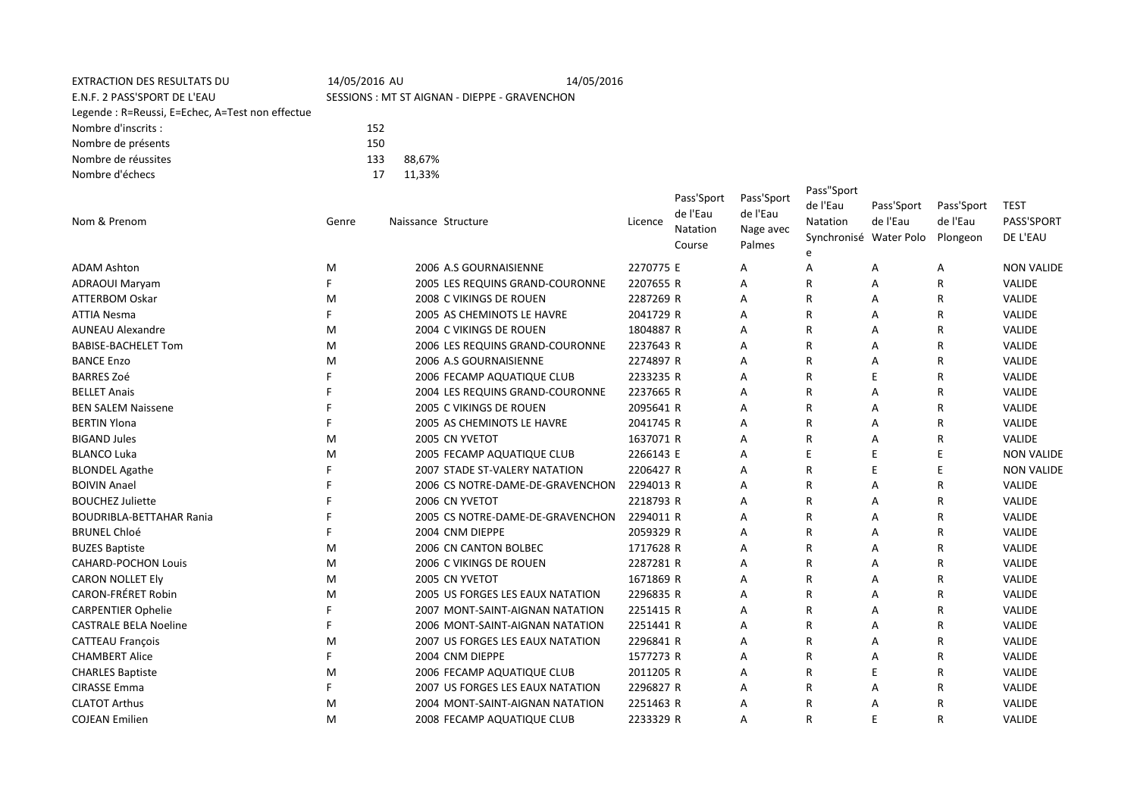| <b>EXTRACTION DES RESULTATS DU</b><br>E.N.F. 2 PASS'SPORT DE L'EAU<br>Legende: R=Reussi, E=Echec, A=Test non effectue | 14/05/2016 AU | SESSIONS: MT ST AIGNAN - DIEPPE - GRAVENCHON | 14/05/2016 |           |                                              |                                               |                                                                   |                        |                                    |                                       |
|-----------------------------------------------------------------------------------------------------------------------|---------------|----------------------------------------------|------------|-----------|----------------------------------------------|-----------------------------------------------|-------------------------------------------------------------------|------------------------|------------------------------------|---------------------------------------|
| Nombre d'inscrits :                                                                                                   | 152           |                                              |            |           |                                              |                                               |                                                                   |                        |                                    |                                       |
| Nombre de présents                                                                                                    | 150           |                                              |            |           |                                              |                                               |                                                                   |                        |                                    |                                       |
| Nombre de réussites                                                                                                   | 133           | 88,67%                                       |            |           |                                              |                                               |                                                                   |                        |                                    |                                       |
| Nombre d'échecs                                                                                                       | 17            | 11,33%                                       |            |           |                                              |                                               |                                                                   |                        |                                    |                                       |
| Nom & Prenom                                                                                                          | Genre         | Naissance Structure                          |            | Licence   | Pass'Sport<br>de l'Eau<br>Natation<br>Course | Pass'Sport<br>de l'Eau<br>Nage avec<br>Palmes | Pass"Sport<br>de l'Eau<br>Natation<br>Synchronisé Water Polo<br>e | Pass'Sport<br>de l'Eau | Pass'Sport<br>de l'Eau<br>Plongeon | <b>TEST</b><br>PASS'SPORT<br>DE L'EAU |
| <b>ADAM Ashton</b>                                                                                                    | м             | 2006 A.S GOURNAISIENNE                       |            | 2270775 E |                                              | A                                             | A                                                                 | Α                      | Α                                  | <b>NON VALIDE</b>                     |
| <b>ADRAOUI Maryam</b>                                                                                                 | F             | 2005 LES REQUINS GRAND-COURONNE              |            | 2207655 R |                                              | A                                             | R                                                                 | A                      | R                                  | <b>VALIDE</b>                         |
| <b>ATTERBOM Oskar</b>                                                                                                 | M             | 2008 C VIKINGS DE ROUEN                      |            | 2287269 R |                                              | A                                             | R                                                                 | Α                      | R                                  | VALIDE                                |
| <b>ATTIA Nesma</b>                                                                                                    | F             | 2005 AS CHEMINOTS LE HAVRE                   |            | 2041729 R |                                              | A                                             | R                                                                 | A                      | R                                  | VALIDE                                |
| <b>AUNEAU Alexandre</b>                                                                                               | м             | 2004 C VIKINGS DE ROUEN                      |            | 1804887 R |                                              | А                                             | R                                                                 | A                      | R                                  | VALIDE                                |
| <b>BABISE-BACHELET Tom</b>                                                                                            | M             | 2006 LES REQUINS GRAND-COURONNE              |            | 2237643 R |                                              | A                                             | R                                                                 | Α                      | R                                  | VALIDE                                |
| <b>BANCE Enzo</b>                                                                                                     | M             | 2006 A.S GOURNAISIENNE                       |            | 2274897 R |                                              | А                                             | R                                                                 | Α                      | R                                  | VALIDE                                |
| <b>BARRES Zoé</b>                                                                                                     | F             | 2006 FECAMP AQUATIQUE CLUB                   |            | 2233235 R |                                              | A                                             | R                                                                 | E                      | R                                  | VALIDE                                |
| <b>BELLET Anais</b>                                                                                                   |               | 2004 LES REQUINS GRAND-COURONNE              |            | 2237665 R |                                              | Α                                             | R                                                                 | A                      | R                                  | VALIDE                                |
| <b>BEN SALEM Naissene</b>                                                                                             |               | 2005 C VIKINGS DE ROUEN                      |            | 2095641 R |                                              | A                                             | R                                                                 | Α                      | R                                  | VALIDE                                |
| <b>BERTIN Ylona</b>                                                                                                   | F             | 2005 AS CHEMINOTS LE HAVRE                   |            | 2041745 R |                                              | Α                                             | R                                                                 | Α                      | R                                  | VALIDE                                |
| <b>BIGAND Jules</b>                                                                                                   | M             | 2005 CN YVETOT                               |            | 1637071 R |                                              | A                                             | R                                                                 | A                      | R                                  | VALIDE                                |
| <b>BLANCO Luka</b>                                                                                                    | M             | 2005 FECAMP AQUATIQUE CLUB                   |            | 2266143 E |                                              | A                                             | F                                                                 | E                      | E                                  | <b>NON VALIDE</b>                     |
| <b>BLONDEL Agathe</b>                                                                                                 | F             | 2007 STADE ST-VALERY NATATION                |            | 2206427 R |                                              | A                                             | R                                                                 | $\mathsf E$            | E                                  | <b>NON VALIDE</b>                     |
| <b>BOIVIN Anael</b>                                                                                                   | F             | 2006 CS NOTRE-DAME-DE-GRAVENCHON             |            | 2294013 R |                                              | A                                             | R                                                                 | A                      | R                                  | <b>VALIDE</b>                         |
| <b>BOUCHEZ Juliette</b>                                                                                               |               | 2006 CN YVETOT                               |            | 2218793 R |                                              | A                                             | R                                                                 | Α                      | R                                  | VALIDE                                |
| <b>BOUDRIBLA-BETTAHAR Rania</b>                                                                                       |               | 2005 CS NOTRE-DAME-DE-GRAVENCHON             |            | 2294011 R |                                              | A                                             | R                                                                 | A                      | R                                  | VALIDE                                |
| <b>BRUNEL Chloé</b>                                                                                                   | F             | 2004 CNM DIEPPE                              |            | 2059329 R |                                              | A                                             | R                                                                 | Α                      | R                                  | VALIDE                                |
| <b>BUZES Baptiste</b>                                                                                                 | M             | 2006 CN CANTON BOLBEC                        |            | 1717628 R |                                              | Α                                             | R                                                                 | A                      | R                                  | VALIDE                                |
| <b>CAHARD-POCHON Louis</b>                                                                                            | M             | 2006 C VIKINGS DE ROUEN                      |            | 2287281 R |                                              | Α                                             | R                                                                 | Α                      | R                                  | VALIDE                                |
| <b>CARON NOLLET Ely</b>                                                                                               | M             | 2005 CN YVETOT                               |            | 1671869 R |                                              | Α                                             | R                                                                 | Α                      | R                                  | <b>VALIDE</b>                         |
| CARON-FRÉRET Robin                                                                                                    | M             | 2005 US FORGES LES EAUX NATATION             |            | 2296835 R |                                              | A                                             | R                                                                 | Α                      | R                                  | VALIDE                                |
| <b>CARPENTIER Ophelie</b>                                                                                             | F             | 2007 MONT-SAINT-AIGNAN NATATION              |            | 2251415 R |                                              | A                                             | R                                                                 | Α                      | R                                  | <b>VALIDE</b>                         |
| <b>CASTRALE BELA Noeline</b>                                                                                          | F             | 2006 MONT-SAINT-AIGNAN NATATION              |            | 2251441 R |                                              | A                                             | R                                                                 | A                      | R                                  | VALIDE                                |
| <b>CATTEAU François</b>                                                                                               | M             | 2007 US FORGES LES EAUX NATATION             |            | 2296841 R |                                              | A                                             | R                                                                 | A                      | R                                  | VALIDE                                |
| <b>CHAMBERT Alice</b>                                                                                                 | F             | 2004 CNM DIEPPE                              |            | 1577273 R |                                              | A                                             | R                                                                 | A                      | R                                  | VALIDE                                |
| <b>CHARLES Baptiste</b>                                                                                               | M             | 2006 FECAMP AQUATIQUE CLUB                   |            | 2011205 R |                                              | А                                             | R                                                                 | E                      | R                                  | VALIDE                                |
| <b>CIRASSE Emma</b>                                                                                                   | F             | 2007 US FORGES LES EAUX NATATION             |            | 2296827 R |                                              | A                                             | R                                                                 | A                      | R                                  | VALIDE                                |
| <b>CLATOT Arthus</b>                                                                                                  | M             | 2004 MONT-SAINT-AIGNAN NATATION              |            | 2251463 R |                                              | Α                                             | R                                                                 | Α                      | R                                  | VALIDE                                |
| <b>COJEAN Emilien</b>                                                                                                 | M             | 2008 FECAMP AQUATIQUE CLUB                   |            | 2233329 R |                                              | A                                             | R                                                                 | E                      | R                                  | VALIDE                                |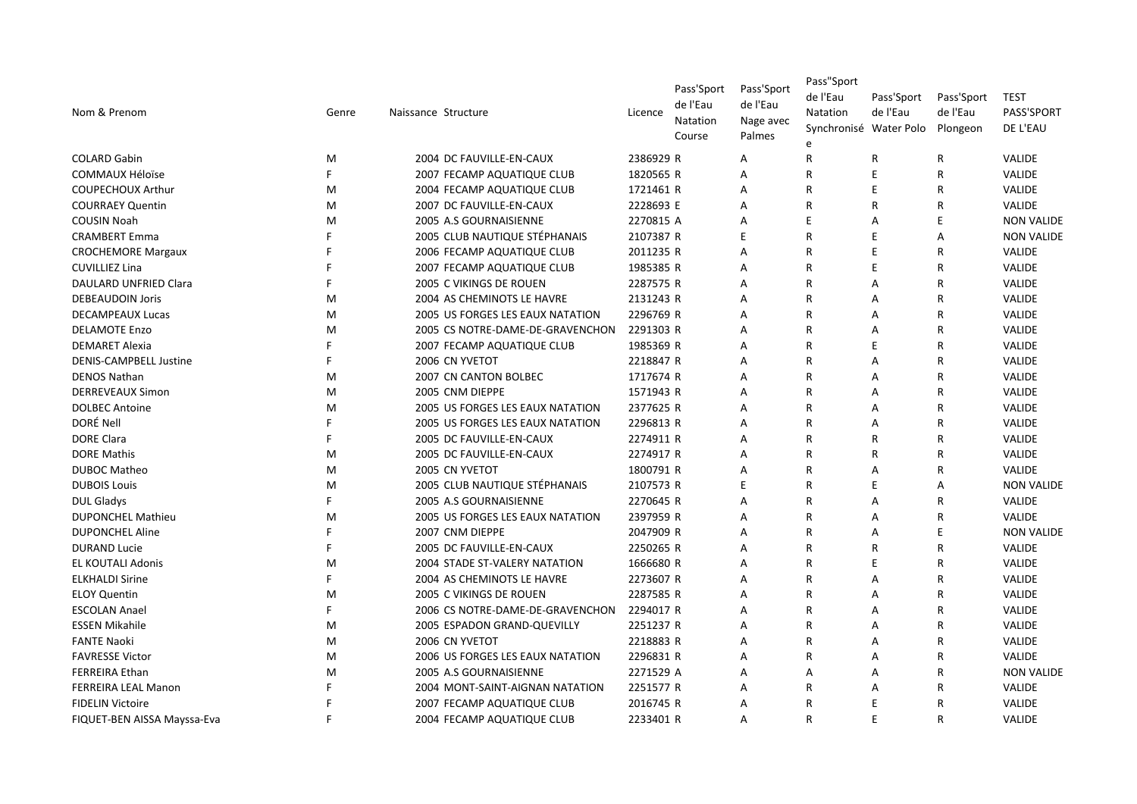| Nom & Prenom                  | Genre | Naissance Structure              | Licence   | Pass'Sport<br>de l'Eau<br>Natation<br>Course | Pass'Sport<br>de l'Eau<br>Nage avec<br>Palmes | Pass"Sport<br>de l'Eau<br>Natation<br>Synchronisé Water Polo | Pass'Sport<br>de l'Eau | Pass'Sport<br>de l'Eau<br>Plongeon | <b>TEST</b><br>PASS'SPORT<br>DE L'EAU |
|-------------------------------|-------|----------------------------------|-----------|----------------------------------------------|-----------------------------------------------|--------------------------------------------------------------|------------------------|------------------------------------|---------------------------------------|
| <b>COLARD Gabin</b>           | M     | 2004 DC FAUVILLE-EN-CAUX         | 2386929 R |                                              | A                                             | R                                                            | R                      | R                                  | VALIDE                                |
| <b>COMMAUX Héloïse</b>        | F     | 2007 FECAMP AQUATIQUE CLUB       | 1820565 R |                                              | Α                                             | R                                                            | E                      | R                                  | VALIDE                                |
| <b>COUPECHOUX Arthur</b>      | M     | 2004 FECAMP AQUATIQUE CLUB       | 1721461 R |                                              | A                                             | R                                                            | E                      | R                                  | VALIDE                                |
| <b>COURRAEY Quentin</b>       | M     | 2007 DC FAUVILLE-EN-CAUX         | 2228693 E |                                              | A                                             | $\mathsf{R}$                                                 | R                      | R                                  | VALIDE                                |
| <b>COUSIN Noah</b>            | M     | 2005 A.S GOURNAISIENNE           | 2270815 A |                                              | A                                             | F                                                            | A                      | F                                  | <b>NON VALIDE</b>                     |
| <b>CRAMBERT Emma</b>          | F     | 2005 CLUB NAUTIQUE STÉPHANAIS    | 2107387 R |                                              | Ε                                             | $\overline{R}$                                               | E                      | A                                  | <b>NON VALIDE</b>                     |
| <b>CROCHEMORE Margaux</b>     | F     | 2006 FECAMP AQUATIQUE CLUB       | 2011235 R |                                              | A                                             | $\overline{R}$                                               | E                      | R                                  | VALIDE                                |
| <b>CUVILLIEZ Lina</b>         | F     | 2007 FECAMP AQUATIQUE CLUB       | 1985385 R |                                              | A                                             | R                                                            | E                      | R                                  | <b>VALIDE</b>                         |
| DAULARD UNFRIED Clara         | F     | 2005 C VIKINGS DE ROUEN          | 2287575 R |                                              | A                                             | $\overline{R}$                                               | A                      | $\mathsf{R}$                       | <b>VALIDE</b>                         |
| <b>DEBEAUDOIN Joris</b>       | M     | 2004 AS CHEMINOTS LE HAVRE       | 2131243 R |                                              | Α                                             | $\mathsf{R}$                                                 | Α                      | R                                  | VALIDE                                |
| <b>DECAMPEAUX Lucas</b>       | M     | 2005 US FORGES LES EAUX NATATION | 2296769 R |                                              | A                                             | R                                                            | А                      | R                                  | VALIDE                                |
| <b>DELAMOTE Enzo</b>          | M     | 2005 CS NOTRE-DAME-DE-GRAVENCHON | 2291303 R |                                              | A                                             | $\overline{R}$                                               | А                      | R                                  | <b>VALIDE</b>                         |
| <b>DEMARET Alexia</b>         | E     | 2007 FECAMP AQUATIQUE CLUB       | 1985369 R |                                              | A                                             | $\mathsf{R}$                                                 | E                      | R                                  | <b>VALIDE</b>                         |
| <b>DENIS-CAMPBELL Justine</b> | F     | 2006 CN YVETOT                   | 2218847 R |                                              | A                                             | $\mathsf{R}$                                                 | A                      | R                                  | <b>VALIDE</b>                         |
| <b>DENOS Nathan</b>           | M     | 2007 CN CANTON BOLBEC            | 1717674 R |                                              | Α                                             | $\overline{R}$                                               | А                      | R                                  | VALIDE                                |
| <b>DERREVEAUX Simon</b>       | M     | 2005 CNM DIEPPE                  | 1571943 R |                                              | A                                             | R                                                            | А                      | R                                  | VALIDE                                |
| <b>DOLBEC Antoine</b>         | M     | 2005 US FORGES LES EAUX NATATION | 2377625 R |                                              | A                                             | R                                                            | А                      | R                                  | VALIDE                                |
| DORÉ Nell                     | E     | 2005 US FORGES LES EAUX NATATION | 2296813 R |                                              | A                                             | R                                                            | A                      | $\mathsf{R}$                       | <b>VALIDE</b>                         |
| <b>DORE Clara</b>             | F     | 2005 DC FAUVILLE-EN-CAUX         | 2274911 R |                                              | A                                             | $\mathsf{R}$                                                 | R                      | R                                  | VALIDE                                |
| <b>DORE Mathis</b>            | M     | 2005 DC FAUVILLE-EN-CAUX         | 2274917 R |                                              | A                                             | R                                                            | R                      | R                                  | VALIDE                                |
| <b>DUBOC Matheo</b>           | M     | 2005 CN YVETOT                   | 1800791 R |                                              | A                                             | $\overline{R}$                                               | А                      | R                                  | <b>VALIDE</b>                         |
| <b>DUBOIS Louis</b>           | M     | 2005 CLUB NAUTIQUE STÉPHANAIS    | 2107573 R |                                              | Ε                                             | $\overline{R}$                                               | E                      | A                                  | <b>NON VALIDE</b>                     |
| <b>DUL Gladys</b>             | F     | 2005 A.S GOURNAISIENNE           | 2270645 R |                                              | A                                             | R                                                            | A                      | R                                  | <b>VALIDE</b>                         |
| <b>DUPONCHEL Mathieu</b>      | M     | 2005 US FORGES LES EAUX NATATION | 2397959 R |                                              | A                                             | $\mathsf{R}$                                                 | Α                      | R                                  | VALIDE                                |
| <b>DUPONCHEL Aline</b>        | E     | 2007 CNM DIEPPE                  | 2047909 R |                                              | Α                                             | R                                                            | А                      | E                                  | <b>NON VALIDE</b>                     |
| <b>DURAND Lucie</b>           | F     | 2005 DC FAUVILLE-EN-CAUX         | 2250265 R |                                              | A                                             | R                                                            | R                      | R                                  | <b>VALIDE</b>                         |
| <b>EL KOUTALI Adonis</b>      | M     | 2004 STADE ST-VALERY NATATION    | 1666680 R |                                              | A                                             | $\mathsf{R}$                                                 | E                      | $\mathsf{R}$                       | <b>VALIDE</b>                         |
| <b>ELKHALDI Sirine</b>        | E     | 2004 AS CHEMINOTS LE HAVRE       | 2273607 R |                                              | A                                             | $\mathsf{R}$                                                 | A                      | $\mathsf{R}$                       | <b>VALIDE</b>                         |
| <b>ELOY Quentin</b>           | M     | 2005 C VIKINGS DE ROUEN          | 2287585 R |                                              | A                                             | $\mathsf{R}$                                                 | А                      | $\mathsf R$                        | VALIDE                                |
| <b>ESCOLAN Anael</b>          | F     | 2006 CS NOTRE-DAME-DE-GRAVENCHON | 2294017 R |                                              | Α                                             | R                                                            | А                      | R                                  | VALIDE                                |
| <b>ESSEN Mikahile</b>         | M     | 2005 ESPADON GRAND-QUEVILLY      | 2251237 R |                                              | A                                             | R                                                            | А                      | R                                  | VALIDE                                |
| <b>FANTE Naoki</b>            | M     | 2006 CN YVETOT                   | 2218883 R |                                              | A                                             | R                                                            | A                      | R                                  | <b>VALIDE</b>                         |
| <b>FAVRESSE Victor</b>        | M     | 2006 US FORGES LES EAUX NATATION | 2296831 R |                                              | A                                             | $\mathsf{R}$                                                 | A                      | R                                  | <b>VALIDE</b>                         |
| <b>FERREIRA Ethan</b>         | M     | 2005 A.S GOURNAISIENNE           | 2271529 A |                                              | A                                             | $\overline{A}$                                               | А                      | R                                  | <b>NON VALIDE</b>                     |
| FERREIRA LEAL Manon           | F     | 2004 MONT-SAINT-AIGNAN NATATION  | 2251577 R |                                              | A                                             | R                                                            | А                      | R                                  | VALIDE                                |
| <b>FIDELIN Victoire</b>       | F     | 2007 FECAMP AQUATIQUE CLUB       | 2016745 R |                                              | A                                             | R                                                            | E                      | R                                  | <b>VALIDE</b>                         |
| FIQUET-BEN AISSA Mayssa-Eva   | F     | 2004 FECAMP AQUATIQUE CLUB       | 2233401 R |                                              | A                                             | R                                                            | E                      | $\mathsf{R}$                       | <b>VALIDE</b>                         |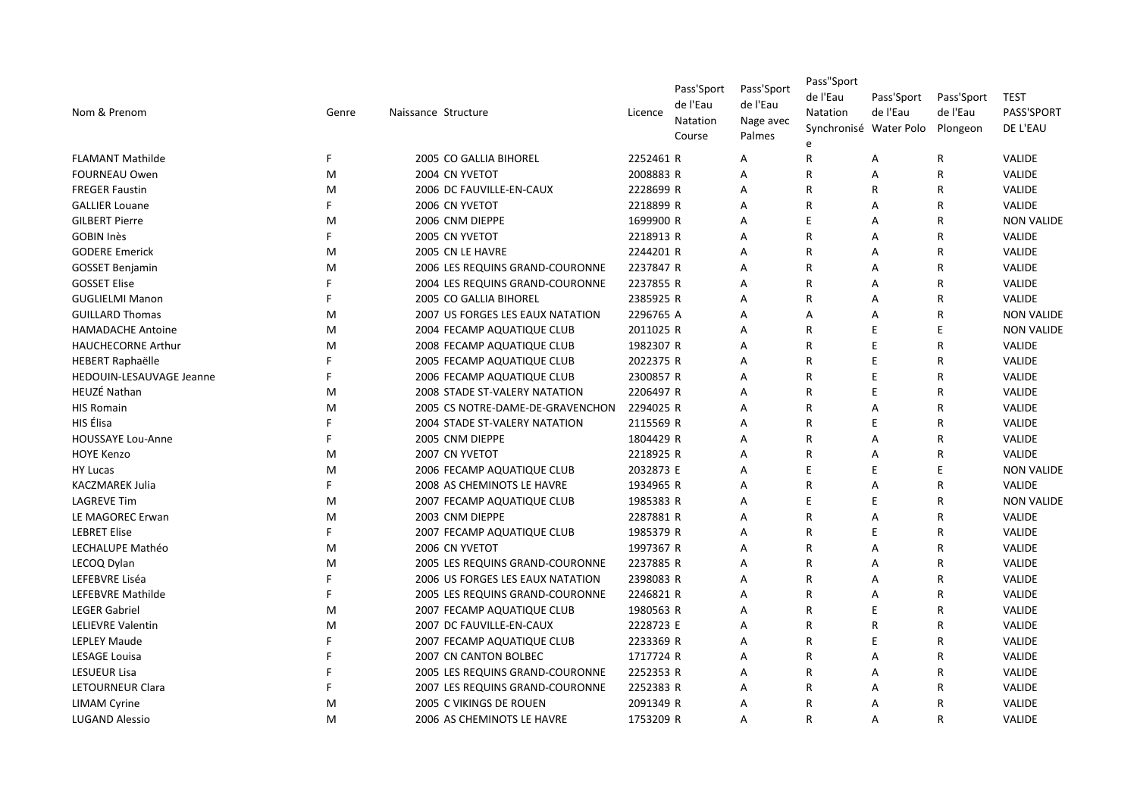| Nom & Prenom              | Genre | Naissance Structure              | Licence   | Pass'Sport<br>de l'Eau<br>Natation<br>Course | Pass'Sport<br>de l'Eau<br>Nage avec<br>Palmes | Pass"Sport<br>de l'Eau<br>Natation<br>Synchronisé Water Polo | Pass'Sport<br>de l'Eau | Pass'Sport<br>de l'Eau<br>Plongeon | <b>TEST</b><br>PASS'SPORT<br>DE L'EAU |
|---------------------------|-------|----------------------------------|-----------|----------------------------------------------|-----------------------------------------------|--------------------------------------------------------------|------------------------|------------------------------------|---------------------------------------|
| <b>FLAMANT Mathilde</b>   | F     | 2005 CO GALLIA BIHOREL           | 2252461 R |                                              | A                                             | R                                                            | Α                      | R                                  | <b>VALIDE</b>                         |
| <b>FOURNEAU Owen</b>      | M     | 2004 CN YVETOT                   | 2008883 R |                                              | A                                             | $\mathsf{R}$                                                 | А                      | R                                  | <b>VALIDE</b>                         |
| <b>FREGER Faustin</b>     | M     | 2006 DC FAUVILLE-EN-CAUX         | 2228699 R |                                              | A                                             | R                                                            | R                      | R                                  | VALIDE                                |
| <b>GALLIER Louane</b>     | F     | 2006 CN YVETOT                   | 2218899 R |                                              | A                                             | R                                                            | Α                      | R                                  | <b>VALIDE</b>                         |
| <b>GILBERT Pierre</b>     | M     | 2006 CNM DIEPPE                  | 1699900 R |                                              | A                                             | F                                                            | Α                      | R                                  | <b>NON VALIDE</b>                     |
| <b>GOBIN Inès</b>         | F     | 2005 CN YVETOT                   | 2218913 R |                                              | Α                                             | $\mathsf{R}$                                                 | Α                      | R                                  | VALIDE                                |
| <b>GODERE Emerick</b>     | M     | 2005 CN LE HAVRE                 | 2244201 R |                                              | Α                                             | R                                                            | Α                      | R                                  | VALIDE                                |
| <b>GOSSET Benjamin</b>    | M     | 2006 LES REQUINS GRAND-COURONNE  | 2237847 R |                                              | A                                             | R                                                            | Α                      | R                                  | <b>VALIDE</b>                         |
| <b>GOSSET Elise</b>       | F     | 2004 LES REQUINS GRAND-COURONNE  | 2237855 R |                                              | A                                             | $\mathsf{R}$                                                 | A                      | R                                  | <b>VALIDE</b>                         |
| <b>GUGLIELMI Manon</b>    | F     | 2005 CO GALLIA BIHOREL           | 2385925 R |                                              | Α                                             | R                                                            | Α                      | R                                  | VALIDE                                |
| <b>GUILLARD Thomas</b>    | M     | 2007 US FORGES LES EAUX NATATION | 2296765 A |                                              | A                                             | A                                                            | Α                      | R                                  | <b>NON VALIDE</b>                     |
| <b>HAMADACHE Antoine</b>  | M     | 2004 FECAMP AQUATIQUE CLUB       | 2011025 R |                                              | A                                             | R                                                            | E                      | E                                  | <b>NON VALIDE</b>                     |
| <b>HAUCHECORNE Arthur</b> | M     | 2008 FECAMP AQUATIQUE CLUB       | 1982307 R |                                              | A                                             | $\mathsf{R}$                                                 | E                      | R                                  | <b>VALIDE</b>                         |
| <b>HEBERT Raphaëlle</b>   | F     | 2005 FECAMP AQUATIQUE CLUB       | 2022375 R |                                              | A                                             | R                                                            | E                      | R                                  | <b>VALIDE</b>                         |
| HEDOUIN-LESAUVAGE Jeanne  | F     | 2006 FECAMP AQUATIQUE CLUB       | 2300857 R |                                              | A                                             | R                                                            | E                      | R                                  | VALIDE                                |
| <b>HEUZÉ Nathan</b>       | M     | 2008 STADE ST-VALERY NATATION    | 2206497 R |                                              | A                                             | R                                                            | E                      | R                                  | <b>VALIDE</b>                         |
| <b>HIS Romain</b>         | M     | 2005 CS NOTRE-DAME-DE-GRAVENCHON | 2294025 R |                                              | Α                                             | $\mathsf{R}$                                                 | Α                      | R                                  | VALIDE                                |
| HIS Élisa                 | F     | 2004 STADE ST-VALERY NATATION    | 2115569 R |                                              | A                                             | R                                                            | E                      | R                                  | VALIDE                                |
| HOUSSAYE Lou-Anne         | F.    | 2005 CNM DIEPPE                  | 1804429 R |                                              | A                                             | $\mathsf{R}$                                                 | Α                      | R                                  | VALIDE                                |
| <b>HOYE Kenzo</b>         | M     | 2007 CN YVETOT                   | 2218925 R |                                              | A                                             | R                                                            | Α                      | R                                  | <b>VALIDE</b>                         |
| <b>HY Lucas</b>           | M     | 2006 FECAMP AQUATIQUE CLUB       | 2032873 E |                                              | A                                             | F                                                            | E                      | Ë                                  | <b>NON VALIDE</b>                     |
| <b>KACZMAREK Julia</b>    | F     | 2008 AS CHEMINOTS LE HAVRE       | 1934965 R |                                              | A                                             | $\overline{R}$                                               | Α                      | R                                  | <b>VALIDE</b>                         |
| <b>LAGREVE Tim</b>        | M     | 2007 FECAMP AQUATIQUE CLUB       | 1985383 R |                                              | A                                             | F                                                            | E                      | R                                  | <b>NON VALIDE</b>                     |
| LE MAGOREC Erwan          | M     | 2003 CNM DIEPPE                  | 2287881 R |                                              | Α                                             | $\mathsf{R}$                                                 | Α                      | R                                  | VALIDE                                |
| <b>LEBRET Elise</b>       | F.    | 2007 FECAMP AQUATIQUE CLUB       | 1985379 R |                                              | Α                                             | R                                                            | E                      | R                                  | VALIDE                                |
| LECHALUPE Mathéo          | M     | 2006 CN YVETOT                   | 1997367 R |                                              | A                                             | R                                                            | Α                      | R                                  | <b>VALIDE</b>                         |
| LECOQ Dylan               | M     | 2005 LES REQUINS GRAND-COURONNE  | 2237885 R |                                              | A                                             | $\mathsf{R}$                                                 | A                      | R                                  | <b>VALIDE</b>                         |
| LEFEBVRE Liséa            | F     | 2006 US FORGES LES EAUX NATATION | 2398083 R |                                              | A                                             | R                                                            | Α                      | R                                  | VALIDE                                |
| LEFEBVRE Mathilde         | F     | 2005 LES REQUINS GRAND-COURONNE  | 2246821 R |                                              | A                                             | $\mathsf{R}$                                                 | Α                      | R                                  | VALIDE                                |
| <b>LEGER Gabriel</b>      | M     | 2007 FECAMP AQUATIQUE CLUB       | 1980563 R |                                              | A                                             | R                                                            | E                      | R                                  | <b>VALIDE</b>                         |
| <b>LELIEVRE Valentin</b>  | M     | 2007 DC FAUVILLE-EN-CAUX         | 2228723 E |                                              | Α                                             | R                                                            | R                      | R                                  | VALIDE                                |
| <b>LEPLEY Maude</b>       | E     | 2007 FECAMP AQUATIQUE CLUB       | 2233369 R |                                              | Α                                             | R                                                            | E                      | R                                  | <b>VALIDE</b>                         |
| <b>LESAGE Louisa</b>      | F     | 2007 CN CANTON BOLBEC            | 1717724 R |                                              | Α                                             | R                                                            | Α                      | R                                  | VALIDE                                |
| <b>LESUEUR Lisa</b>       |       | 2005 LES REQUINS GRAND-COURONNE  | 2252353 R |                                              | A                                             | R                                                            | A                      | R                                  | VALIDE                                |
| LETOURNEUR Clara          |       | 2007 LES REQUINS GRAND-COURONNE  | 2252383 R |                                              | Α                                             | R                                                            | Α                      | R                                  | VALIDE                                |
| <b>LIMAM Cyrine</b>       | M     | 2005 C VIKINGS DE ROUEN          | 2091349 R |                                              | A                                             | R                                                            | A                      | R                                  | <b>VALIDE</b>                         |
| <b>LUGAND Alessio</b>     | M     | 2006 AS CHEMINOTS LE HAVRE       | 1753209 R |                                              | A                                             | R                                                            | A                      | R                                  | <b>VALIDE</b>                         |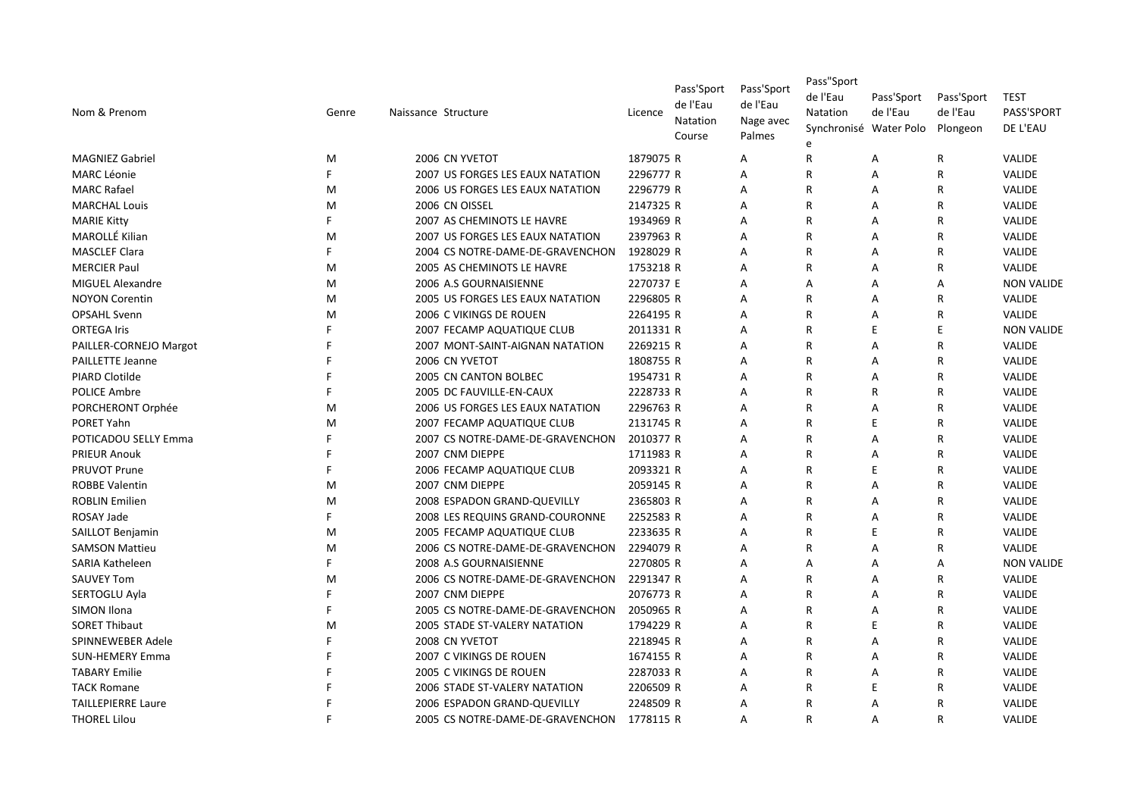| Nom & Prenom              | Genre | Naissance Structure                     | Licence   | Pass'Sport<br>de l'Eau<br>Natation<br>Course | Pass'Sport<br>de l'Eau<br>Nage avec<br>Palmes | Pass"Sport<br>de l'Eau<br>Natation<br>e | Pass'Sport<br>de l'Eau<br>Synchronisé Water Polo | Pass'Sport<br>de l'Eau<br>Plongeon | TEST<br>PASS'SPORT<br>DE L'EAU |
|---------------------------|-------|-----------------------------------------|-----------|----------------------------------------------|-----------------------------------------------|-----------------------------------------|--------------------------------------------------|------------------------------------|--------------------------------|
| <b>MAGNIEZ Gabriel</b>    | M     | 2006 CN YVETOT                          | 1879075 R |                                              | A                                             | $\mathsf{R}$                            | Α                                                | R                                  | <b>VALIDE</b>                  |
| <b>MARC Léonie</b>        | F.    | 2007 US FORGES LES EAUX NATATION        | 2296777 R |                                              | A                                             | $\mathsf{R}$                            | Α                                                | R                                  | <b>VALIDE</b>                  |
| <b>MARC Rafael</b>        | M     | 2006 US FORGES LES EAUX NATATION        | 2296779 R |                                              | A                                             | R                                       | Α                                                | R                                  | VALIDE                         |
| <b>MARCHAL Louis</b>      | M     | 2006 CN OISSEL                          | 2147325 R |                                              | A                                             | R                                       | A                                                | R                                  | <b>VALIDE</b>                  |
| <b>MARIE Kitty</b>        | F     | 2007 AS CHEMINOTS LE HAVRE              | 1934969 R |                                              | A                                             | $\mathsf{R}$                            | A                                                | R                                  | <b>VALIDE</b>                  |
| MAROLLÉ Kilian            | M     | <b>2007 US FORGES LES EAUX NATATION</b> | 2397963 R |                                              | A                                             | $\mathsf{R}$                            | A                                                | R                                  | <b>VALIDE</b>                  |
| <b>MASCLEF Clara</b>      | F     | 2004 CS NOTRE-DAME-DE-GRAVENCHON        | 1928029 R |                                              | A                                             | R                                       | Α                                                | R                                  | VALIDE                         |
| <b>MERCIER Paul</b>       | M     | 2005 AS CHEMINOTS LE HAVRE              | 1753218 R |                                              | A                                             | R                                       | Α                                                | R                                  | VALIDE                         |
| MIGUEL Alexandre          | M     | 2006 A.S GOURNAISIENNE                  | 2270737 E |                                              | A                                             | A                                       | Α                                                | Α                                  | <b>NON VALIDE</b>              |
| <b>NOYON Corentin</b>     | M     | 2005 US FORGES LES EAUX NATATION        | 2296805 R |                                              | A                                             | R                                       | A                                                | R                                  | <b>VALIDE</b>                  |
| <b>OPSAHL Svenn</b>       | M     | 2006 C VIKINGS DE ROUEN                 | 2264195 R |                                              | A                                             | $\mathsf{R}$                            | A                                                | R                                  | <b>VALIDE</b>                  |
| <b>ORTEGA Iris</b>        | F     | 2007 FECAMP AQUATIQUE CLUB              | 2011331 R |                                              | A                                             | $\overline{R}$                          | E                                                | E                                  | <b>NON VALIDE</b>              |
| PAILLER-CORNEJO Margot    | F     | 2007 MONT-SAINT-AIGNAN NATATION         | 2269215 R |                                              | A                                             | $\overline{R}$                          | Α                                                | R                                  | VALIDE                         |
| <b>PAILLETTE Jeanne</b>   |       | 2006 CN YVETOT                          | 1808755 R |                                              | A                                             | R                                       | Α                                                | R                                  | VALIDE                         |
| <b>PIARD Clotilde</b>     |       | 2005 CN CANTON BOLBEC                   | 1954731 R |                                              | A                                             | R                                       | Α                                                | R                                  | <b>VALIDE</b>                  |
| <b>POLICE Ambre</b>       |       | 2005 DC FAUVILLE-EN-CAUX                | 2228733 R |                                              | A                                             | $\mathsf{R}$                            | R                                                | R                                  | VALIDE                         |
| PORCHERONT Orphée         | м     | 2006 US FORGES LES EAUX NATATION        | 2296763 R |                                              | A                                             | $\overline{R}$                          | Α                                                | R                                  | VALIDE                         |
| PORET Yahn                | м     | 2007 FECAMP AQUATIQUE CLUB              | 2131745 R |                                              | Α                                             | R                                       | E                                                | R                                  | <b>VALIDE</b>                  |
| POTICADOU SELLY Emma      | F     | 2007 CS NOTRE-DAME-DE-GRAVENCHON        | 2010377 R |                                              | A                                             | R                                       | Α                                                | R                                  | VALIDE                         |
| <b>PRIEUR Anouk</b>       | F     | 2007 CNM DIEPPE                         | 1711983 R |                                              | A                                             | R                                       | A                                                | R                                  | <b>VALIDE</b>                  |
| <b>PRUVOT Prune</b>       | F     | 2006 FECAMP AQUATIQUE CLUB              | 2093321 R |                                              | A                                             | $\mathsf{R}$                            | E                                                | R                                  | VALIDE                         |
| <b>ROBBE Valentin</b>     | M     | 2007 CNM DIEPPE                         | 2059145 R |                                              | A                                             | $\overline{R}$                          | Α                                                | R                                  | VALIDE                         |
| <b>ROBLIN Emilien</b>     | м     | 2008 ESPADON GRAND-QUEVILLY             | 2365803 R |                                              | A                                             | R                                       | Α                                                | R                                  | <b>VALIDE</b>                  |
| ROSAY Jade                | F     | 2008 LES REQUINS GRAND-COURONNE         | 2252583 R |                                              | Α                                             | R                                       | Α                                                | R                                  | <b>VALIDE</b>                  |
| <b>SAILLOT Benjamin</b>   | M     | 2005 FECAMP AQUATIQUE CLUB              | 2233635 R |                                              | A                                             | $\mathsf{R}$                            | E                                                | R                                  | VALIDE                         |
| <b>SAMSON Mattieu</b>     | м     | 2006 CS NOTRE-DAME-DE-GRAVENCHON        | 2294079 R |                                              | A                                             | $\mathsf{R}$                            | A                                                | R                                  | VALIDE                         |
| SARIA Katheleen           | E     | 2008 A.S GOURNAISIENNE                  | 2270805 R |                                              | A                                             | A                                       | Α                                                | А                                  | <b>NON VALIDE</b>              |
| <b>SAUVEY Tom</b>         | м     | 2006 CS NOTRE-DAME-DE-GRAVENCHON        | 2291347 R |                                              | Α                                             | R                                       | Α                                                | R                                  | VALIDE                         |
| SERTOGLU Ayla             | F     | 2007 CNM DIEPPE                         | 2076773 R |                                              | A                                             | R                                       | A                                                | R                                  | VALIDE                         |
| SIMON Ilona               | F     | 2005 CS NOTRE-DAME-DE-GRAVENCHON        | 2050965 R |                                              | A                                             | $\mathsf{R}$                            | A                                                | R                                  | <b>VALIDE</b>                  |
| <b>SORET Thibaut</b>      | M     | 2005 STADE ST-VALERY NATATION           | 1794229 R |                                              | A                                             | $\mathsf{R}$                            | E                                                | R                                  | <b>VALIDE</b>                  |
| SPINNEWEBER Adele         | F     | 2008 CN YVETOT                          | 2218945 R |                                              | A                                             | $\mathsf{R}$                            | Α                                                | R                                  | VALIDE                         |
| <b>SUN-HEMERY Emma</b>    |       | 2007 C VIKINGS DE ROUEN                 | 1674155 R |                                              | A                                             | R                                       | Α                                                | R                                  | VALIDE                         |
| <b>TABARY Emilie</b>      |       | 2005 C VIKINGS DE ROUEN                 | 2287033 R |                                              | A                                             | R                                       | Α                                                | R                                  | VALIDE                         |
| <b>TACK Romane</b>        |       | 2006 STADE ST-VALERY NATATION           | 2206509 R |                                              | A                                             | R                                       | E                                                | R                                  | VALIDE                         |
| <b>TAILLEPIERRE Laure</b> |       | 2006 ESPADON GRAND-QUEVILLY             | 2248509 R |                                              | A                                             | R                                       | А                                                | R                                  | VALIDE                         |
| <b>THOREL Lilou</b>       | F     | 2005 CS NOTRE-DAME-DE-GRAVENCHON        | 1778115 R |                                              | A                                             | R                                       | A                                                | R                                  | <b>VALIDE</b>                  |